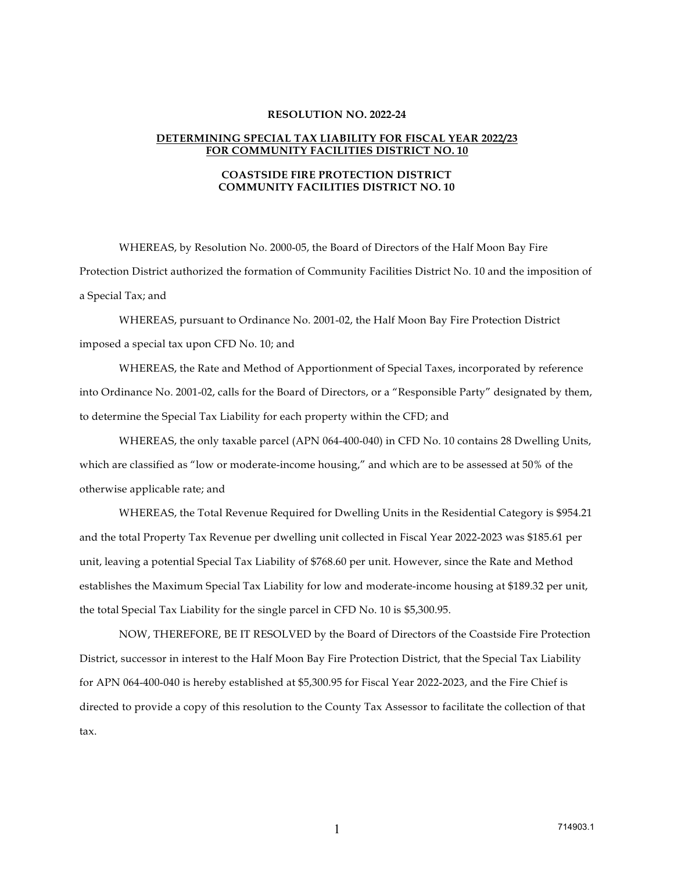## **RESOLUTION NO. 2022-24**

## **DETERMINING SPECIAL TAX LIABILITY FOR FISCAL YEAR 2022/23 FOR COMMUNITY FACILITIES DISTRICT NO. 10**

## **COASTSIDE FIRE PROTECTION DISTRICT COMMUNITY FACILITIES DISTRICT NO. 10**

WHEREAS, by Resolution No. 2000-05, the Board of Directors of the Half Moon Bay Fire Protection District authorized the formation of Community Facilities District No. 10 and the imposition of a Special Tax; and

WHEREAS, pursuant to Ordinance No. 2001-02, the Half Moon Bay Fire Protection District imposed a special tax upon CFD No. 10; and

WHEREAS, the Rate and Method of Apportionment of Special Taxes, incorporated by reference into Ordinance No. 2001-02, calls for the Board of Directors, or a "Responsible Party" designated by them, to determine the Special Tax Liability for each property within the CFD; and

WHEREAS, the only taxable parcel (APN 064-400-040) in CFD No. 10 contains 28 Dwelling Units, which are classified as "low or moderate-income housing," and which are to be assessed at 50% of the otherwise applicable rate; and

WHEREAS, the Total Revenue Required for Dwelling Units in the Residential Category is \$954.21 and the total Property Tax Revenue per dwelling unit collected in Fiscal Year 2022-2023 was \$185.61 per unit, leaving a potential Special Tax Liability of \$768.60 per unit. However, since the Rate and Method establishes the Maximum Special Tax Liability for low and moderate-income housing at \$189.32 per unit, the total Special Tax Liability for the single parcel in CFD No. 10 is \$5,300.95.

NOW, THEREFORE, BE IT RESOLVED by the Board of Directors of the Coastside Fire Protection District, successor in interest to the Half Moon Bay Fire Protection District, that the Special Tax Liability for APN 064-400-040 is hereby established at \$5,300.95 for Fiscal Year 2022-2023, and the Fire Chief is directed to provide a copy of this resolution to the County Tax Assessor to facilitate the collection of that tax.